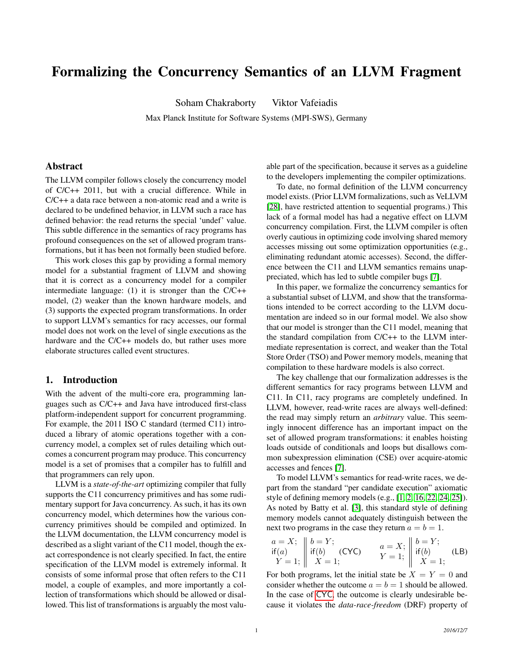# Formalizing the Concurrency Semantics of an LLVM Fragment

Soham Chakraborty Viktor Vafeiadis

Max Planck Institute for Software Systems (MPI-SWS), Germany

# Abstract

The LLVM compiler follows closely the concurrency model of C/C++ 2011, but with a crucial difference. While in C/C++ a data race between a non-atomic read and a write is declared to be undefined behavior, in LLVM such a race has defined behavior: the read returns the special 'undef' value. This subtle difference in the semantics of racy programs has profound consequences on the set of allowed program transformations, but it has been not formally been studied before.

This work closes this gap by providing a formal memory model for a substantial fragment of LLVM and showing that it is correct as a concurrency model for a compiler intermediate language: (1) it is stronger than the C/C++ model, (2) weaker than the known hardware models, and (3) supports the expected program transformations. In order to support LLVM's semantics for racy accesses, our formal model does not work on the level of single executions as the hardware and the C/C++ models do, but rather uses more elaborate structures called event structures.

# 1. Introduction

With the advent of the multi-core era, programming languages such as C/C++ and Java have introduced first-class platform-independent support for concurrent programming. For example, the 2011 ISO C standard (termed C11) introduced a library of atomic operations together with a concurrency model, a complex set of rules detailing which outcomes a concurrent program may produce. This concurrency model is a set of promises that a compiler has to fulfill and that programmers can rely upon.

LLVM is a *state-of-the-art* optimizing compiler that fully supports the C11 concurrency primitives and has some rudimentary support for Java concurrency. As such, it has its own concurrency model, which determines how the various concurrency primitives should be compiled and optimized. In the LLVM documentation, the LLVM concurrency model is described as a slight variant of the C11 model, though the exact correspondence is not clearly specified. In fact, the entire specification of the LLVM model is extremely informal. It consists of some informal prose that often refers to the C11 model, a couple of examples, and more importantly a collection of transformations which should be allowed or disallowed. This list of transformations is arguably the most valuable part of the specification, because it serves as a guideline to the developers implementing the compiler optimizations.

To date, no formal definition of the LLVM concurrency model exists. (Prior LLVM formalizations, such as VeLLVM [\[28\]](#page-10-0), have restricted attention to sequential programs.) This lack of a formal model has had a negative effect on LLVM concurrency compilation. First, the LLVM compiler is often overly cautious in optimizing code involving shared memory accesses missing out some optimization opportunities (e.g., eliminating redundant atomic accesses). Second, the difference between the C11 and LLVM semantics remains unappreciated, which has led to subtle compiler bugs [\[7\]](#page-10-1).

In this paper, we formalize the concurrency semantics for a substantial subset of LLVM, and show that the transformations intended to be correct according to the LLVM documentation are indeed so in our formal model. We also show that our model is stronger than the C11 model, meaning that the standard compilation from C/C++ to the LLVM intermediate representation is correct, and weaker than the Total Store Order (TSO) and Power memory models, meaning that compilation to these hardware models is also correct.

The key challenge that our formalization addresses is the different semantics for racy programs between LLVM and C11. In C11, racy programs are completely undefined. In LLVM, however, read-write races are always well-defined: the read may simply return an *arbitrary* value. This seemingly innocent difference has an important impact on the set of allowed program transformations: it enables hoisting loads outside of conditionals and loops but disallows common subexpression elimination (CSE) over acquire-atomic accesses and fences [\[7\]](#page-10-1).

To model LLVM's semantics for read-write races, we depart from the standard "per candidate execution" axiomatic style of defining memory models (e.g., [\[1,](#page-10-2) [2,](#page-10-3) [16,](#page-10-4) [22,](#page-10-5) [24,](#page-10-6) [25\]](#page-10-7)). As noted by Batty et al. [\[3\]](#page-10-8), this standard style of defining memory models cannot adequately distinguish between the next two programs in the case they return  $a = b = 1$ .

<span id="page-0-1"></span><span id="page-0-0"></span>
$$
\begin{array}{ll}\na = X; \\
\text{if}\n\begin{array}{c}\nb = Y; \\
\text{if}\n\begin{array}{c}\nb = Y; \\
\text{if}\n\end{array} \\
Y = 1; \\
X = 1;\n\end{array}\n\end{array}\n\quad\n\begin{array}{ll}\na = X; \\
\text{if}\n\begin{array}{c}\nb = Y; \\
\text{if}\n\begin{array}{c}\n\end{array} \\
X = 1;\n\end{array}\n\end{array}\n\quad\n\begin{array}{ll}\n\text{(LB)}\n\end{array}
$$

For both programs, let the initial state be  $X = Y = 0$  and consider whether the outcome  $a = b = 1$  should be allowed. In the case of [CYC](#page-0-0), the outcome is clearly undesirable because it violates the *data-race-freedom* (DRF) property of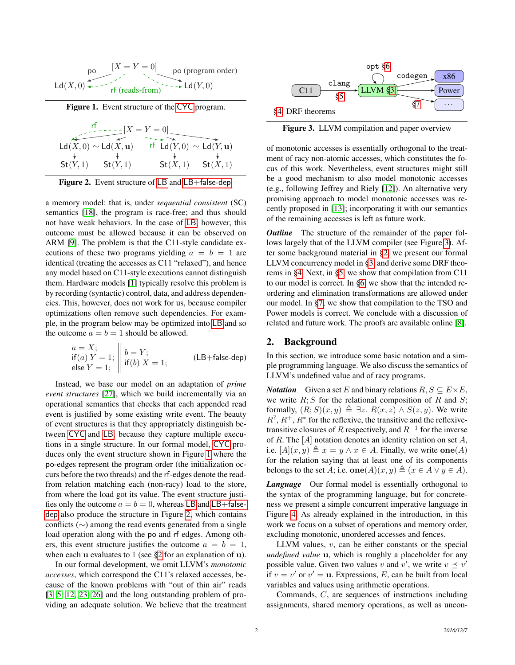

<span id="page-1-1"></span>Figure 1. Event structure of the [CYC](#page-0-0) program.

|          |                          | $-[X = Y = 0]$            |         |
|----------|--------------------------|---------------------------|---------|
|          |                          |                           |         |
|          | $Ld(X, 0) \sim Ld(X, u)$ | rf $Ld(Y,0) \sim Ld(Y,u)$ |         |
|          |                          |                           |         |
| St(Y, 1) | St(Y,1)                  | St(X,1)                   | St(X,1) |

<span id="page-1-2"></span>

a memory model: that is, under *sequential consistent* (SC) semantics [\[18\]](#page-10-9), the program is race-free; and thus should not have weak behaviors. In the case of [LB](#page-0-1), however, this outcome must be allowed because it can be observed on ARM [\[9\]](#page-10-10). The problem is that the C11-style candidate executions of these two programs yielding  $a = b = 1$  are identical (treating the accesses as C11 "relaxed"), and hence any model based on C11-style executions cannot distinguish them. Hardware models [\[1\]](#page-10-2) typically resolve this problem is by recording (syntactic) control, data, and address dependencies. This, however, does not work for us, because compiler optimizations often remove such dependencies. For example, in the program below may be optimized into [LB](#page-0-1) and so the outcome  $a = b = 1$  should be allowed.

$$
a = X;\nif (a) Y = 1;\nelse Y = 1;\nif (b) X = 1;\n(LB+false-dep)
$$

Instead, we base our model on an adaptation of *prime event structures* [\[27\]](#page-10-11), which we build incrementally via an operational semantics that checks that each appended read event is justified by some existing write event. The beauty of event structures is that they appropriately distinguish between [CYC](#page-0-0) and [LB](#page-0-1), because they capture multiple executions in a single structure. In our formal model, [CYC](#page-0-0) produces only the event structure shown in Figure [1](#page-1-1) where the po-edges represent the program order (the initialization occurs before the two threads) and the rf-edges denote the readfrom relation matching each (non-racy) load to the store, from where the load got its value. The event structure justifies only the outcome  $a = b = 0$ , whereas [LB](#page-0-1) and [LB+false](#page-1-0)[dep](#page-1-0) also produce the structure in Figure [2,](#page-1-2) which contains conflicts (∼) among the read events generated from a single load operation along with the po and rf edges. Among others, this event structure justifies the outcome  $a = b = 1$ , when each **u** evaluates to 1 (see [§2](#page-1-3) for an explanation of **u**).

In our formal development, we omit LLVM's *monotonic accesses*, which correspond the C11's relaxed accesses, because of the known problems with "out of thin air" reads [\[3,](#page-10-8) [5,](#page-10-12) [12,](#page-10-13) [23,](#page-10-14) [26\]](#page-10-15) and the long outstanding problem of providing an adequate solution. We believe that the treatment



<span id="page-1-4"></span>Figure 3. LLVM compilation and paper overview

of monotonic accesses is essentially orthogonal to the treatment of racy non-atomic accesses, which constitutes the focus of this work. Nevertheless, event structures might still be a good mechanism to also model monotonic accesses (e.g., following Jeffrey and Riely [\[12\]](#page-10-13)). An alternative very promising approach to model monotonic accesses was recently proposed in [\[13\]](#page-10-16); incorporating it with our semantics of the remaining accesses is left as future work.

*Outline* The structure of the remainder of the paper follows largely that of the LLVM compiler (see Figure [3\)](#page-1-4). After some background material in [§2,](#page-1-3) we present our formal LLVM concurrency model in [§3,](#page-2-0) and derive some DRF theorems in [§4.](#page-6-0) Next, in [§5,](#page-7-0) we show that compilation from C11 to our model is correct. In [§6,](#page-7-1) we show that the intended reordering and elimination transformations are allowed under our model. In [§7,](#page-8-0) we show that compilation to the TSO and Power models is correct. We conclude with a discussion of related and future work. The proofs are available online [\[8\]](#page-10-17).

# <span id="page-1-3"></span>2. Background

<span id="page-1-0"></span>In this section, we introduce some basic notation and a simple programming language. We also discuss the semantics of LLVM's undefined value and of racy programs.

*Notation* Given a set E and binary relations  $R, S \subseteq E \times E$ , we write  $R; S$  for the relational composition of R and S; formally,  $(R; S)(x, y) \triangleq \exists z$ .  $R(x, z) \wedge S(z, y)$ . We write  $R^7$ ,  $R^+$ ,  $R^*$  for the reflexive, the transitive and the reflexivetransitive closures of R respectively, and  $R^{-1}$  for the inverse of R. The  $[A]$  notation denotes an identity relation on set A, i.e.  $[A](x, y) \triangleq x = y \land x \in A$ . Finally, we write one(A) for the relation saying that at least one of its components belongs to the set A; i.e. one $(A)(x, y) \triangleq (x \in A \vee y \in A)$ .

*Language* Our formal model is essentially orthogonal to the syntax of the programming language, but for concreteness we present a simple concurrent imperative language in Figure [4.](#page-2-1) As already explained in the introduction, in this work we focus on a subset of operations and memory order, excluding monotonic, unordered accesses and fences.

LLVM values,  $v$ , can be either constants or the special *undefined value* u, which is roughly a placeholder for any possible value. Given two values v and v', we write  $v \preceq v'$ if  $v = v'$  or  $v' = u$ . Expressions, E, can be built from local variables and values using arithmetic operations.

Commands, C, are sequences of instructions including assignments, shared memory operations, as well as uncon-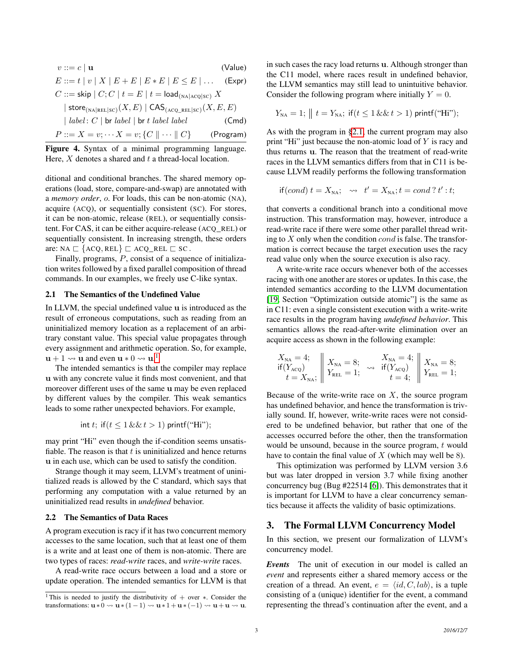$$
v ::= c | \mathbf{u}
$$
 (Value)  

$$
E ::= t | v | X | E + E | E * E | E \le E | \dots
$$
 (Expr)

$$
C ::= \textsf{skip} \mid C; C \mid t = E \mid t = \textsf{load}_{(\textsf{NA} \mid \textsf{ACQ} \mid \textsf{SC})} X
$$
\n
$$
|\text{ store}_{(\textsf{NA} \mid \textsf{REL} \mid \textsf{SC})}(X, E) \mid \textsf{CAS}_{(\textsf{ACQ\_REL} \mid \textsf{SC})}(X, E, E)
$$
\n
$$
|\text{ label}: C \mid \text{br } \text{ label} \mid \text{br } \text{t } \text{ label } \text{ label} \tag{Cmd}
$$
\n
$$
P ::= X = v; \dotsm X = v; \{C \mid \dotsm \mid C\} \tag{Program}
$$

<span id="page-2-1"></span>Figure 4. Syntax of a minimal programming language. Here,  $X$  denotes a shared and  $t$  a thread-local location.

ditional and conditional branches. The shared memory operations (load, store, compare-and-swap) are annotated with a *memory order*, o. For loads, this can be non-atomic (NA), acquire (ACQ), or sequentially consistent (SC). For stores, it can be non-atomic, release (REL), or sequentially consistent. For CAS, it can be either acquire-release (ACQ\_REL) or sequentially consistent. In increasing strength, these orders are: NA  $\sqsubset \{\text{ACQ}, \text{REL}\} \sqsubset \text{ACQ\_REL} \sqsubset \text{SC}$ .

Finally, programs, P, consist of a sequence of initialization writes followed by a fixed parallel composition of thread commands. In our examples, we freely use C-like syntax.

#### <span id="page-2-3"></span>2.1 The Semantics of the Undefined Value

In LLVM, the special undefined value u is introduced as the result of erroneous computations, such as reading from an uninitialized memory location as a replacement of an arbitrary constant value. This special value propagates through every assignment and arithmetic operation. So, for example,  $\mathbf{u} + 1 \rightsquigarrow \mathbf{u}$  $\mathbf{u} + 1 \rightsquigarrow \mathbf{u}$  $\mathbf{u} + 1 \rightsquigarrow \mathbf{u}$  and even  $\mathbf{u} * 0 \rightsquigarrow \mathbf{u}$ .<sup>1</sup>

The intended semantics is that the compiler may replace u with any concrete value it finds most convenient, and that moreover different uses of the same u may be even replaced by different values by the compiler. This weak semantics leads to some rather unexpected behaviors. For example,

int t; if  $(t \leq 1 \&\& t > 1)$  printf ("Hi");

may print "Hi" even though the if-condition seems unsatisfiable. The reason is that  $t$  is uninitialized and hence returns u in each use, which can be used to satisfy the condition.

Strange though it may seem, LLVM's treatment of uninitialized reads is allowed by the C standard, which says that performing any computation with a value returned by an uninitialized read results in *undefined* behavior.

# 2.2 The Semantics of Data Races

A program execution is racy if it has two concurrent memory accesses to the same location, such that at least one of them is a write and at least one of them is non-atomic. There are two types of races: *read-write* races, and *write-write* races.

A read-write race occurs between a load and a store or update operation. The intended semantics for LLVM is that in such cases the racy load returns u. Although stronger than the C11 model, where races result in undefined behavior, the LLVM semantics may still lead to unintuitive behavior. Consider the following program where initially  $Y = 0$ .

$$
Y_{\text{NA}} = 1; \parallel t = Y_{\text{NA}}; \text{ if } (t \le 1 \&\& t > 1) \text{ printf("Hi");}
$$

As with the program in [§2.1,](#page-2-3) the current program may also print "Hi" just because the non-atomic load of Y is racy and thus returns u. The reason that the treatment of read-write races in the LLVM semantics differs from that in C11 is because LLVM readily performs the following transformation

$$
if (cond) t = X_{NA}; \rightsquigarrow t' = X_{NA}; t = cond ? t': t;
$$

that converts a conditional branch into a conditional move instruction. This transformation may, however, introduce a read-write race if there were some other parallel thread writing to  $X$  only when the condition  $\text{cond}$  is false. The transformation is correct because the target execution uses the racy read value only when the source execution is also racy.

A write-write race occurs whenever both of the accesses racing with one another are stores or updates. In this case, the intended semantics according to the LLVM documentation [\[19,](#page-10-18) Section "Optimization outside atomic"] is the same as in C11: even a single consistent execution with a write-write race results in the program having *undefined behavior*. This semantics allows the read-after-write elimination over an acquire access as shown in the following example:

$$
\begin{array}{c}\nX_{\text{NA}} = 4; \\
\text{if}(Y_{\text{ACQ}}) \\
t = X_{\text{NA}}; \\
\end{array}\n\begin{array}{c}\nX_{\text{NA}} = 8; \\
Y_{\text{REL}} = 1; \\
\end{array}\n\rightarrow\n\begin{array}{c}\nX_{\text{NA}} = 4; \\
\text{if}(Y_{\text{ACQ}}) \\
t = 4; \\
\end{array}\n\begin{array}{c}\nX_{\text{NA}} = 8; \\
Y_{\text{REL}} = 1;\n\end{array}
$$

Because of the write-write race on  $X$ , the source program has undefined behavior, and hence the transformation is trivially sound. If, however, write-write races were not considered to be undefined behavior, but rather that one of the accesses occurred before the other, then the transformation would be unsound, because in the source program, t would have to contain the final value of  $X$  (which may well be 8).

This optimization was performed by LLVM version 3.6 but was later dropped in version 3.7 while fixing another concurrency bug (Bug #22514 [\[6\]](#page-10-19)). This demonstrates that it is important for LLVM to have a clear concurrency semantics because it affects the validity of basic optimizations.

## <span id="page-2-0"></span>3. The Formal LLVM Concurrency Model

In this section, we present our formalization of LLVM's concurrency model.

*Events* The unit of execution in our model is called an *event* and represents either a shared memory access or the creation of a thread. An event,  $e = \langle id, C, lab \rangle$ , is a tuple consisting of a (unique) identifier for the event, a command representing the thread's continuation after the event, and a

<span id="page-2-2"></span><sup>&</sup>lt;sup>1</sup> This is needed to justify the distributivity of + over  $*$ . Consider the transformations:  $\mathbf{u} * 0 \leadsto \mathbf{u} * (1 - 1) \leadsto \mathbf{u} * 1 + \mathbf{u} * (-1) \leadsto \mathbf{u} + \mathbf{u} \leadsto \mathbf{u}$ .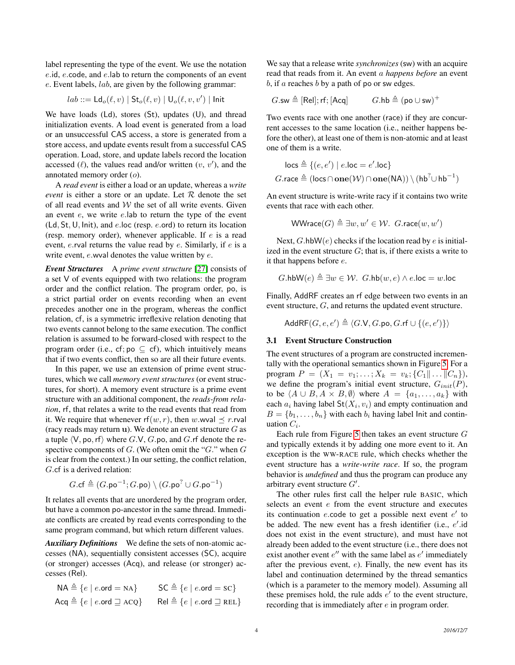label representing the type of the event. We use the notation e.id, e.code, and e.lab to return the components of an event  $e$ . Event labels,  $lab$ , are given by the following grammar:

$$
lab ::= \mathsf{Ld}_o(\ell, v) | \mathsf{St}_o(\ell, v) | \mathsf{U}_o(\ell, v, v') | \mathsf{Init}
$$

We have loads (Ld), stores (St), updates (U), and thread initialization events. A load event is generated from a load or an unsuccessful CAS access, a store is generated from a store access, and update events result from a successful CAS operation. Load, store, and update labels record the location accessed  $(\ell)$ , the values read and/or written  $(v, v')$ , and the annotated memory order (o).

A *read event* is either a load or an update, whereas a *write event* is either a store or an update. Let  $R$  denote the set of all read events and  $W$  the set of all write events. Given an event  $e$ , we write  $e$ . lab to return the type of the event  $(Ld, St, U, Init)$ , and e.loc (resp. e.ord) to return its location (resp. memory order), whenever applicable. If  $e$  is a read event, e.rval returns the value read by e. Similarly, if e is a write event, *e*. wval denotes the value written by *e*.

*Event Structures* A *prime event structure* [\[27\]](#page-10-11) consists of a set V of events equipped with two relations: the program order and the conflict relation. The program order, po, is a strict partial order on events recording when an event precedes another one in the program, whereas the conflict relation, cf, is a symmetric irreflexive relation denoting that two events cannot belong to the same execution. The conflict relation is assumed to be forward-closed with respect to the program order (i.e., cf; po  $\subseteq$  cf), which intuitively means that if two events conflict, then so are all their future events.

In this paper, we use an extension of prime event structures, which we call *memory event structures* (or event structures, for short). A memory event structure is a prime event structure with an additional component, the *reads-from relation*, rf, that relates a write to the read events that read from it. We require that whenever  $rf(w, r)$ , then w.wval  $\preceq r$ .rval (racy reads may return  $u$ ). We denote an event structure  $G$  as a tuple  $\langle V, \text{po}, \text{rf} \rangle$  where  $G.V, G.p$ , and  $G.r$  denote the respective components of  $G$ . (We often omit the " $G$ ." when  $G$ is clear from the context.) In our setting, the conflict relation, G.cf is a derived relation:

$$
G.\mathsf{cf} \triangleq (G.\mathsf{po}^{-1}; G.\mathsf{po}) \setminus (G.\mathsf{po}^? \cup G.\mathsf{po}^{-1})
$$

It relates all events that are unordered by the program order, but have a common po-ancestor in the same thread. Immediate conflicts are created by read events corresponding to the same program command, but which return different values.

*Auxiliary Definitions* We define the sets of non-atomic accesses (NA), sequentially consistent accesses (SC), acquire (or stronger) accesses (Acq), and release (or stronger) accesses (Rel).

$$
NA \triangleq \{e \mid e.\text{ord} = \text{NA}\}
$$
  

$$
SC \triangleq \{e \mid e.\text{ord} = \text{SC}\}
$$
  

$$
Acq \triangleq \{e \mid e.\text{ord} \sqsupseteq ACQ\}
$$
  

$$
Rel \triangleq \{e \mid e.\text{ord} \sqsupseteq REL\}
$$

We say that a release write *synchronizes* (sw) with an acquire read that reads from it. An event a *happens before* an event  $b$ , if  $a$  reaches  $b$  by a path of po or sw edges.

$$
G.\mathsf{sw} \triangleq [\mathsf{Rel}];\mathsf{rf}; [\mathsf{Acq}] \hspace{1cm} G.\mathsf{hb} \triangleq (\mathsf{po} \cup \mathsf{sw})^+
$$

Two events race with one another (race) if they are concurrent accesses to the same location (i.e., neither happens before the other), at least one of them is non-atomic and at least one of them is a write.

$$
\begin{aligned}\n\text{locs} &\triangleq \{ (e, e') \mid e.\text{loc} = e'.\text{loc} \} \\
G.\text{race} &\triangleq (\text{locs} \cap \text{one}(\mathcal{W}) \cap \text{one}(\text{NA})) \setminus (\text{hb}^2 \cup \text{hb}^{-1})\n\end{aligned}
$$

An event structure is write-write racy if it contains two write events that race with each other.

$$
\mathsf{WWrace}(G) \triangleq \exists w, w' \in \mathcal{W}. \ \ G.\mathsf{race}(w, w')
$$

Next,  $G.$ hbW $(e)$  checks if the location read by e is initialized in the event structure  $G$ ; that is, if there exists a write to it that happens before e.

$$
G.\mathsf{hbW}(e) \triangleq \exists w \in \mathcal{W}. \ \ G.\mathsf{hb}(w,e) \land e.\mathsf{loc} = w.\mathsf{loc}
$$

Finally, AddRF creates an rf edge between two events in an event structure, G, and returns the updated event structure.

$$
AddRF(G, e, e') \triangleq \langle G.V, G.\text{po}, G.\text{rf} \cup \{(e, e')\}\rangle
$$

#### 3.1 Event Structure Construction

The event structures of a program are constructed incrementally with the operational semantics shown in Figure [5.](#page-4-0) For a program  $P = (X_1 = v_1; \dots; X_k = v_k; \{C_1 \| \dots \| C_n\}),$ we define the program's initial event structure,  $G_{init}(P)$ , to be  $\langle A \cup B, A \times B, \emptyset \rangle$  where  $A = \{a_1, \ldots, a_k\}$  with each  $a_i$  having label  $St(X_i, v_i)$  and empty continuation and  $B = \{b_1, \ldots, b_n\}$  with each  $b_i$  having label Init and continuation  $C_i$ .

Each rule from Figure [5](#page-4-0) then takes an event structure  $G$ and typically extends it by adding one more event to it. An exception is the WW-RACE rule, which checks whether the event structure has a *write-write race*. If so, the program behavior is *undefined* and thus the program can produce any arbitrary event structure  $G'$ .

The other rules first call the helper rule BASIC, which selects an event  $e$  from the event structure and executes its continuation e.code to get a possible next event  $e'$  to be added. The new event has a fresh identifier (i.e.,  $e'$ .id does not exist in the event structure), and must have not already been added to the event structure (i.e., there does not exist another event  $e''$  with the same label as  $e'$  immediately after the previous event,  $e$ ). Finally, the new event has its label and continuation determined by the thread semantics (which is a parameter to the memory model). Assuming all these premises hold, the rule adds  $e'$  to the event structure, recording that is immediately after e in program order.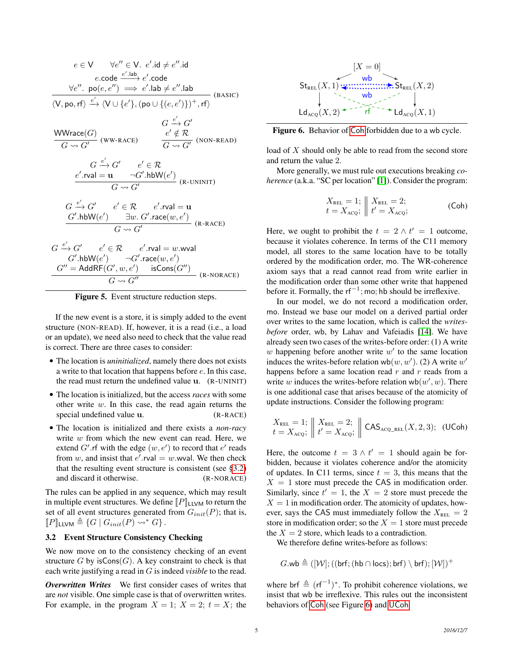$$
e \in V \quad \forall e'' \in V. \quad e'.\text{id} \neq e''.\text{id}
$$
\n
$$
e.\text{code} \quad \frac{e'.\text{lab}}{e'.\text{p0}} \neq c'.\text{code}
$$
\n
$$
\forall e''. \text{p0}(e, e'') \implies e'.\text{lab} \neq e''.\text{lab}
$$
\n
$$
\langle V, \text{p0}, \text{rf} \rangle \xrightarrow{e'} \langle V \cup \{e'\}, (\text{p0} \cup \{(e, e')\})^+, \text{rf} \rangle
$$
\n
$$
G \xrightarrow{e'} G'
$$
\n
$$
\frac{\text{WWrace}(G)}{G \leadsto G'} \text{ (WW-RACE)} \qquad \frac{e' \notin \mathcal{R}}{G \leadsto G'} \text{ (NON-READ)}
$$
\n
$$
G \xrightarrow{e'} G' \qquad e' \in \mathcal{R}
$$
\n
$$
\frac{e'.\text{rval} = \mathbf{u} \qquad \neg G'.\text{hbW}(e')}{G \leadsto G'}
$$
\n
$$
\frac{G \xrightarrow{e'} G'}{G \leadsto G'} \text{ (R-UNINT)}
$$
\n
$$
G \xrightarrow{e'} G' \qquad e' \in \mathcal{R} \qquad e'.\text{rval} = \mathbf{u}
$$
\n
$$
\frac{G'.\text{hbW}(e') \qquad \exists w. G'.\text{race}(w, e')}{G \leadsto G'}
$$
\n
$$
\frac{G \xrightarrow{e'} G'}{G \leadsto G'} \text{ (R-RACE)}
$$
\n
$$
G'' \text{1bbW}(e') \qquad \neg G'.\text{race}(w, e') \qquad \text{isCons}(G'')
$$
\n
$$
\frac{G'' = \text{AddRF}(G', w, e') \qquad \text{isCons}(G'')}{(R\text{-NORACE})}
$$

<span id="page-4-0"></span>Figure 5. Event structure reduction steps.

If the new event is a store, it is simply added to the event structure (NON-READ). If, however, it is a read (i.e., a load or an update), we need also need to check that the value read is correct. There are three cases to consider:

- The location is *uninitialized*, namely there does not exists a write to that location that happens before e. In this case, the read must return the undefined value u. (R-UNINIT)
- The location is initialized, but the access *races* with some other write  $w$ . In this case, the read again returns the special undefined value **u**. (R-RACE)
- The location is initialized and there exists a *non-racy* write  $w$  from which the new event can read. Here, we extend G'.rf with the edge  $(w, e')$  to record that  $e'$  reads from w, and insist that  $e'$  rval = w.wval. We then check that the resulting event structure is consistent (see [§3.2\)](#page-4-1) and discard it otherwise. (R-NORACE)

The rules can be applied in any sequence, which may result in multiple event structures. We define  $[P]_{LLVM}$  to return the set of all event structures generated from  $G_{init}(P)$ ; that is,  $[P]$ LLVM  $\triangleq \{G \mid G_{init}(P) \rightsquigarrow^* G\}.$ 

#### <span id="page-4-1"></span>3.2 Event Structure Consistency Checking

We now move on to the consistency checking of an event structure G by  $isCons(G)$ . A key constraint to check is that each write justifying a read in G is indeed *visible* to the read.

*Overwritten Writes* We first consider cases of writes that are *not* visible. One simple case is that of overwritten writes. For example, in the program  $X = 1$ ;  $X = 2$ ;  $t = X$ ; the



<span id="page-4-3"></span>Figure 6. Behavior of [Coh](#page-4-2) forbidden due to a wb cycle.

load of X should only be able to read from the second store and return the value 2.

More generally, we must rule out executions breaking *coherence* (a.k.a. "SC per location" [\[1\]](#page-10-2)). Consider the program:

<span id="page-4-2"></span>
$$
X_{\text{REL}} = 1; \quad X_{\text{REL}} = 2; \n t = X_{\text{ACQ}}; \quad t' = X_{\text{ACQ}}; \quad \text{(Coh)}
$$

Here, we ought to prohibit the  $t = 2 \wedge t' = 1$  outcome, because it violates coherence. In terms of the C11 memory model, all stores to the same location have to be totally ordered by the modification order, mo. The WR-coherence axiom says that a read cannot read from write earlier in the modification order than some other write that happened before it. Formally, the  $rf^{-1}$ ; mo; hb should be irreflexive.

In our model, we do not record a modification order, mo. Instead we base our model on a derived partial order over writes to the same location, which is called the *writesbefore* order, wb, by Lahav and Vafeiadis [\[14\]](#page-10-20). We have already seen two cases of the writes-before order: (1) A write  $w$  happening before another write  $w'$  to the same location induces the writes-before relation  $\mathsf{wb}(w, w')$ . (2) A write w' happens before a same location read  $r$  and  $r$  reads from a write w induces the writes-before relation  $\mathsf{wb}(w', w)$ . There is one additional case that arises because of the atomicity of update instructions. Consider the following program:

<span id="page-4-4"></span>
$$
X_{\text{REL}} = 1; \quad X_{\text{REL}} = 2; \quad X_{\text{ACO}}; \quad \text{CAS}_{\text{ACQ\_REL}}(X, 2, 3); \quad \text{(UCoh)}
$$

Here, the outcome  $t = 3 \wedge t' = 1$  should again be forbidden, because it violates coherence and/or the atomicity of updates. In C11 terms, since  $t = 3$ , this means that the  $X = 1$  store must precede the CAS in modification order. Similarly, since  $t' = 1$ , the  $X = 2$  store must precede the  $X = 1$  in modification order. The atomicity of updates, however, says the CAS must immediately follow the  $X_{\text{REL}} = 2$ store in modification order; so the  $X = 1$  store must precede the  $X = 2$  store, which leads to a contradiction.

We therefore define writes-before as follows:

 $G.\mathsf{wb} \triangleq (|\mathcal{W}|; ((\mathsf{brf}; (\mathsf{hb} \cap \mathsf{locs}); \mathsf{brf}) \setminus \mathsf{brf}); [\mathcal{W}])^+$ 

where brf  $\triangleq (rf^{-1})^*$ . To prohibit coherence violations, we insist that wb be irreflexive. This rules out the inconsistent behaviors of [Coh](#page-4-2) (see Figure [6\)](#page-4-3) and [UCoh](#page-4-4).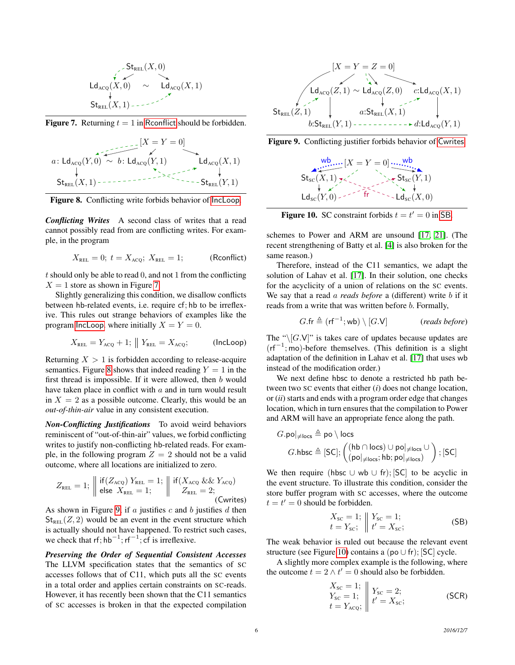$$
\mathsf{Ld}_{\mathsf{ACQ}}(X,0) \sim \mathsf{Ld}_{\mathsf{ACQ}}(X,1)
$$
\n
$$
\downarrow \qquad \qquad \mathsf{Ld}_{\mathsf{ACQ}}(X,1)
$$
\n
$$
\downarrow \qquad \qquad \mathsf{St}_{\mathsf{REL}}(X,1) \quad \cdots \quad \mathsf{St}_{\mathsf{REL}}(X,1)
$$

<span id="page-5-2"></span>**Figure 7.** Returning  $t = 1$  in [Rconflict](#page-5-0) should be forbidden.

$$
a: \operatorname{Ld}_{\operatorname{ACQ}}(Y,0) \stackrel{\simeq}{\sim} b: \operatorname{Ld}_{\operatorname{ACQ}}(Y,1) \qquad \qquad \operatorname{Ld}_{\operatorname{ACQ}}(X,1)
$$
\n
$$
\downarrow
$$
\n
$$
\operatorname{St}_{\operatorname{REL}}(X,1) \quad - \quad \cdots \quad - \quad \cdots \quad - \quad \cdots \quad - \quad \operatorname{St}_{\operatorname{REL}}(Y,1)
$$

<span id="page-5-3"></span>Figure 8. Conflicting write forbids behavior of [IncLoop](#page-5-1).

*Conflicting Writes* A second class of writes that a read cannot possibly read from are conflicting writes. For example, in the program

$$
X_{\text{REL}} = 0; t = X_{\text{ACQ}}; X_{\text{REL}} = 1;
$$
 (Rconflict)

t should only be able to read 0, and not 1 from the conflicting  $X = 1$  store as shown in Figure [7.](#page-5-2)

Slightly generalizing this condition, we disallow conflicts between hb-related events, i.e. require cf; hb to be irreflexive. This rules out strange behaviors of examples like the program [IncLoop](#page-5-1). where initially  $X = Y = 0$ .

$$
X_{\text{REL}} = Y_{\text{ACQ}} + 1; \parallel Y_{\text{REL}} = X_{\text{ACQ}}; \quad (\text{IncLoop})
$$

Returning  $X > 1$  is forbidden according to release-acquire semantics. Figure [8](#page-5-3) shows that indeed reading  $Y = 1$  in the first thread is impossible. If it were allowed, then  $b$  would have taken place in conflict with a and in turn would result in  $X = 2$  as a possible outcome. Clearly, this would be an *out-of-thin-air* value in any consistent execution.

*Non-Conflicting Justifications* To avoid weird behaviors reminiscent of "out-of-thin-air" values, we forbid conflicting writes to justify non-conflicting hb-related reads. For example, in the following program  $Z = 2$  should not be a valid outcome, where all locations are initialized to zero.

$$
Z_{\text{REL}} = 1; \parallel \text{if}(Z_{\text{ACQ}}) Y_{\text{REL}} = 1; \parallel \text{if}(X_{\text{ACQ}} \&\& Y_{\text{ACQ}})
$$
  
\nelse  $X_{\text{REL}} = 1$ ;  $Z_{\text{REL}} = 2$ ; (Cwrites)

As shown in Figure [9,](#page-5-4) if  $a$  justifies  $c$  and  $b$  justifies  $d$  then  $St_{REL}(Z, 2)$  would be an event in the event structure which is actually should not have happened. To restrict such cases, we check that rf; hb<sup>-1</sup>; rf<sup>-1</sup>; cf is irreflexive.

*Preserving the Order of Sequential Consistent Accesses* The LLVM specification states that the semantics of SC accesses follows that of C11, which puts all the SC events in a total order and applies certain constraints on SC-reads. However, it has recently been shown that the C11 semantics of SC accesses is broken in that the expected compilation



Figure 9. Conflicting justifier forbids behavior of [Cwrites](#page-5-5).

<span id="page-5-4"></span>

<span id="page-5-7"></span>**Figure 10.** SC constraint forbids  $t = t' = 0$  in [SB](#page-5-6).

schemes to Power and ARM are unsound [\[17,](#page-10-21) [21\]](#page-10-22). (The recent strengthening of Batty et al. [\[4\]](#page-10-23) is also broken for the same reason.)

<span id="page-5-0"></span>Therefore, instead of the C11 semantics, we adapt the solution of Lahav et al. [\[17\]](#page-10-21). In their solution, one checks for the acyclicity of a union of relations on the SC events. We say that a read a *reads before* a (different) write b if it reads from a write that was written before b. Formally,

$$
G.\mathsf{fr} \triangleq (\mathsf{rf}^{-1}; \mathsf{wb}) \setminus [G.\mathsf{V}] \qquad \qquad (reads \, before)
$$

<span id="page-5-1"></span>The " $\langle G.V \rangle$ " is takes care of updates because updates are (rf<sup>−</sup><sup>1</sup> ; mo)-before themselves. (This definition is a slight adaptation of the definition in Lahav et al. [\[17\]](#page-10-21) that uses wb instead of the modification order.)

We next define hbsc to denote a restricted hb path between two SC events that either (*i*) does not change location, or (*ii*) starts and ends with a program order edge that changes location, which in turn ensures that the compilation to Power and ARM will have an appropriate fence along the path.

$$
G.\mathsf{po}|_{\neq \mathsf{locs}} \triangleq \mathsf{po} \setminus \mathsf{locs} \\ G.\mathsf{hbsc} \triangleq [\mathsf{SC}]; \left( \begin{matrix} (\mathsf{hb} \cap \mathsf{locs}) \cup \mathsf{po}|_{\neq \mathsf{locs}} \cup \\ (\mathsf{po}|_{\neq \mathsf{locs}}; \mathsf{hb}; \mathsf{po}|_{\neq \mathsf{locs}}) \end{matrix} \right); [\mathsf{SC}]
$$

<span id="page-5-5"></span>We then require (hbsc  $\cup$  wb  $\cup$  fr); [SC] to be acyclic in the event structure. To illustrate this condition, consider the store buffer program with SC accesses, where the outcome  $t = t' = 0$  should be forbidden.

<span id="page-5-6"></span>
$$
X_{\rm sc} = 1; \t\left\| Y_{\rm sc} = 1; \t\in Y_{\rm sc}; \t\left\| t' = X_{\rm sc}; \t\right\| \tag{SB}
$$

The weak behavior is ruled out because the relevant event structure (see Figure [10\)](#page-5-7) contains a (po  $\cup$  fr); [SC] cycle.

A slightly more complex example is the following, where the outcome  $t = 2 \wedge t' = 0$  should also be forbidden.

<span id="page-5-8"></span>
$$
X_{sc} = 1; \tX_{sc} = 2; Y_{sc} = 1; \tY_{sc} = X_{sc}; t = Y_{Acc};
$$
 (SCR)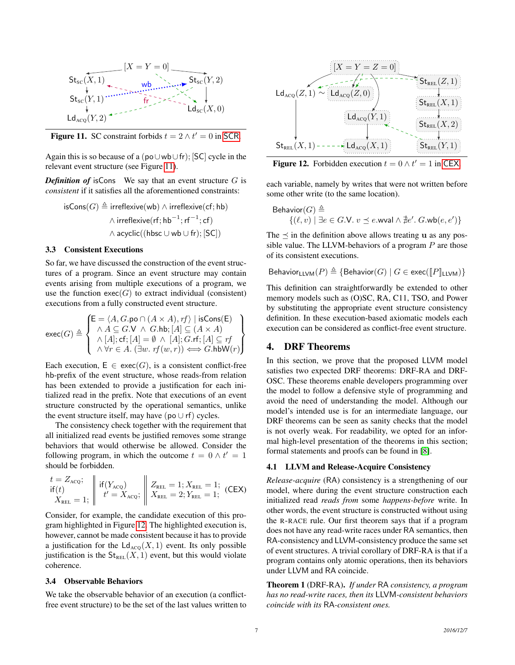

<span id="page-6-1"></span>**Figure 11.** SC constraint forbids  $t = 2 \wedge t' = 0$  in [SCR](#page-5-8).

Again this is so because of a (po∪wb∪fr); [SC] cycle in the relevant event structure (see Figure [11\)](#page-6-1).

**Definition of** isCons We say that an event structure  $G$  is *consistent* if it satisfies all the aforementioned constraints:

isCons
$$
\begin{aligned} \mathsf{isCons}(G) &\triangleq \mathsf{irreflexive}(\mathsf{wb}) \land \mathsf{irreflexive}(\mathsf{cf}; \mathsf{hb}) \\ &\land \mathsf{irreflexive}(\mathsf{rf}; \mathsf{hb}^{-1}; \mathsf{rf}^{-1}; \mathsf{cf}) \\ &\land \mathsf{acyclic}((\mathsf{hbsc} \cup \mathsf{wb} \cup \mathsf{fr}); [\mathsf{SC}]) \end{aligned}
$$

#### 3.3 Consistent Executions

So far, we have discussed the construction of the event structures of a program. Since an event structure may contain events arising from multiple executions of a program, we use the function  $exec(G)$  to extract individual (consistent) executions from a fully constructed event structure.

$$
\text{exec}(G) \triangleq \left\{ \begin{aligned} & \mathsf{E} = \langle A, G.\text{po} \cap (A \times A), rf \rangle \mid \text{isCons}(\mathsf{E}) \\ & \land A \subseteq G.\textsf{V} \land G.\textsf{hb}; [A] \subseteq (A \times A) \\ & \land [A]; \textsf{cf}; [A] = \emptyset \land [A]; G.\textsf{rf}; [A] \subseteq rf \\ & \land \forall r \in A. (\exists w. rf(w,r)) \Longleftrightarrow G.\textsf{hbW}(r) \end{aligned} \right\}
$$

Each execution,  $E \in \text{exec}(G)$ , is a consistent conflict-free hb-prefix of the event structure, whose reads-from relation has been extended to provide a justification for each initialized read in the prefix. Note that executions of an event structure constructed by the operational semantics, unlike the event structure itself, may have (po  $\cup$  rf) cycles.

The consistency check together with the requirement that all initialized read events be justified removes some strange behaviors that would otherwise be allowed. Consider the following program, in which the outcome  $t = 0 \wedge t' = 1$ should be forbidden.

$$
\begin{array}{l}\nt = Z_{\text{ACQ}}; \\
\text{if}(t) \\
X_{\text{REL}} = 1; \\
\end{array} \begin{array}{c}\n\text{if } (Y_{\text{ACQ}}) \\
t' = X_{\text{ACQ}}; \\
\end{array} \begin{array}{c}\nZ_{\text{REL}} = 1; X_{\text{REL}} = 1; \\
X_{\text{REL}} = 2; Y_{\text{REL}} = 1; \\
\end{array} \text{ (CEX)}
$$

Consider, for example, the candidate execution of this program highlighted in Figure [12.](#page-6-2) The highlighted execution is, however, cannot be made consistent because it has to provide a justification for the  $Ld_{ACO}(X, 1)$  event. Its only possible justification is the  $St_{REL}(X, 1)$  event, but this would violate coherence.

#### 3.4 Observable Behaviors

We take the observable behavior of an execution (a conflictfree event structure) to be the set of the last values written to



<span id="page-6-2"></span>**Figure 12.** Forbidden execution  $t = 0 \wedge t' = 1$  in [CEX](#page-6-3).

each variable, namely by writes that were not written before some other write (to the same location).

$$
\begin{aligned} \mathsf{Behavior}(G) &\triangleq \\ \{(\ell,v) \mid \exists e \in G.\mathsf{V}.~v \preceq e.\mathsf{wval} \land \nexists e'.~G.\mathsf{wb}(e,e')\} \end{aligned}
$$

The  $\preceq$  in the definition above allows treating u as any possible value. The LLVM-behaviors of a program  $P$  are those of its consistent executions.

Behavior<sub>LLVM</sub> $(P) \triangleq \{$ Behavior $(G) | G \in$  exec( $[P]$ <sub>LLVM</sub>) $\}$ 

This definition can straightforwardly be extended to other memory models such as (O)SC, RA, C11, TSO, and Power by substituting the appropriate event structure consistency definition. In these execution-based axiomatic models each execution can be considered as conflict-free event structure.

# <span id="page-6-0"></span>4. DRF Theorems

In this section, we prove that the proposed LLVM model satisfies two expected DRF theorems: DRF-RA and DRF-OSC. These theorems enable developers programming over the model to follow a defensive style of programming and avoid the need of understanding the model. Although our model's intended use is for an intermediate language, our DRF theorems can be seen as sanity checks that the model is not overly weak. For readability, we opted for an informal high-level presentation of the theorems in this section; formal statements and proofs can be found in [\[8\]](#page-10-17).

#### 4.1 LLVM and Release-Acquire Consistency

<span id="page-6-3"></span>*Release-acquire* (RA) consistency is a strengthening of our model, where during the event structure construction each initialized read *reads from* some *happens-before* write. In other words, the event structure is constructed without using the R-RACE rule. Our first theorem says that if a program does not have any read-write races under RA semantics, then RA-consistency and LLVM-consistency produce the same set of event structures. A trivial corollary of DRF-RA is that if a program contains only atomic operations, then its behaviors under LLVM and RA coincide.

<span id="page-6-4"></span>Theorem 1 (DRF-RA). *If under* RA *consistency, a program has no read-write races, then its* LLVM*-consistent behaviors coincide with its* RA*-consistent ones.*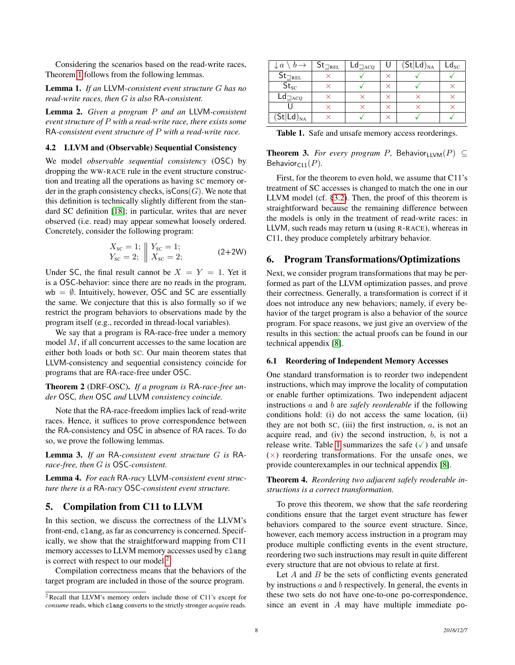Considering the scenarios based on the read-write races, Theorem [1](#page-6-4) follows from the following lemmas.

Lemma 1. *If an* LLVM*-consistent event structure* G *has no read-write races, then* G *is also* RA*-consistent.*

Lemma 2. *Given a program* P *and an* LLVM*-consistent event structure of* P *with a read-write race, there exists some* RA*-consistent event structure of* P *with a read-write race.*

#### 4.2 LLVM and (Observable) Sequential Consistency

We model *observable sequential consistency* (OSC) by dropping the WW-RACE rule in the event structure construction and treating all the operations as having SC memory order in the graph consistency checks,  $\mathsf{isCons}(G)$ . We note that this definition is technically slightly different from the standard SC definition [\[18\]](#page-10-9); in particular, writes that are never observed (i.e. read) may appear somewhat loosely ordered. Concretely, consider the following program:

$$
X_{\text{sc}} = 1; \quad\n\begin{aligned}\nX_{\text{sc}} &= 1; \\
Y_{\text{sc}} &= 2; \quad X_{\text{sc}} &= 2;\n\end{aligned}
$$
\n(2+2W)

Under SC, the final result cannot be  $X = Y = 1$ . Yet it is a OSC-behavior: since there are no reads in the program, wb  $= \emptyset$ . Intuitively, however, OSC and SC are essentially the same. We conjecture that this is also formally so if we restrict the program behaviors to observations made by the program itself (e.g., recorded in thread-local variables).

We say that a program is RA-race-free under a memory model M, if all concurrent accesses to the same location are either both loads or both SC. Our main theorem states that LLVM-consistency and sequential consistency coincide for programs that are RA-race-free under OSC.

Theorem 2 (DRF-OSC). *If a program is* RA*-race-free under* OSC*, then* OSC *and* LLVM *consistency coincide.*

Note that the RA-race-freedom implies lack of read-write races. Hence, it suffices to prove correspondence between the RA-consistency and OSC in absence of RA races. To do so, we prove the following lemmas.

Lemma 3. *If an* RA*-consistent event structure* G *is* RA*race-free, then* G *is* OSC*-consistent.*

Lemma 4. *For each* RA*-racy* LLVM*-consistent event structure there is a* RA*-racy* OSC*-consistent event structure.*

# <span id="page-7-0"></span>5. Compilation from C11 to LLVM

In this section, we discuss the correctness of the LLVM's front-end, clang, as far as concurrency is concerned. Specifically, we show that the straightforward mapping from C11 memory accesses to LLVM memory accesses used by clang is correct with respect to our model. $<sup>2</sup>$  $<sup>2</sup>$  $<sup>2</sup>$ </sup>

Compilation correctness means that the behaviors of the target program are included in those of the source program.

| $\downarrow a$                                                         | $\mathsf{St}_{\mathbb{Z}\mathrm{REL}}$ | ∟d $\sqsupseteq_{\mathrm{ACQ}}$ | $(5t Ld)_{NA}$ | $\mathsf{Ld}_{\mathsf{sc}}$ |
|------------------------------------------------------------------------|----------------------------------------|---------------------------------|----------------|-----------------------------|
| $\mathsf{St}_{\sqsupseteq \mathtt{REL}}$                               |                                        |                                 |                |                             |
| $St_{SC}$                                                              |                                        |                                 |                |                             |
| $\mathsf{Ld}_{\mathcal{\sqsupseteq} \mathsf{ACQ}}$                     |                                        |                                 |                |                             |
|                                                                        |                                        |                                 |                |                             |
| $(\overline{\mathsf{St}} \mathsf{Ld})_{\scriptscriptstyle\mathrm{NA}}$ |                                        |                                 |                |                             |

<span id="page-7-3"></span>Table 1. Safe and unsafe memory access reorderings.

**Theorem 3.** For every program P, Behavior<sub>LLVM</sub> $(P) \subseteq$ Behavior $_{C11}(P)$ .

First, for the theorem to even hold, we assume that C11's treatment of SC accesses is changed to match the one in our LLVM model (cf. [§3.2\)](#page-4-1). Then, the proof of this theorem is straightforward because the remaining difference between the models is only in the treatment of read-write races: in LLVM, such reads may return u (using R-RACE), whereas in C11, they produce completely arbitrary behavior.

# <span id="page-7-1"></span>6. Program Transformations/Optimizations

Next, we consider program transformations that may be performed as part of the LLVM optimization passes, and prove their correctness. Generally, a transformation is correct if it does not introduce any new behaviors; namely, if every behavior of the target program is also a behavior of the source program. For space reasons, we just give an overview of the results in this section: the actual proofs can be found in our technical appendix [\[8\]](#page-10-17).

### 6.1 Reordering of Independent Memory Accesses

One standard transformation is to reorder two independent instructions, which may improve the locality of computation or enable further optimizations. Two independent adjacent instructions a and b are *safely reorderable* if the following conditions hold: (i) do not access the same location, (ii) they are not both  $SC$ , (iii) the first instruction,  $a$ , is not an acquire read, and (iv) the second instruction, b, is not a release write. Table [1](#page-7-3) summarizes the safe  $(\checkmark)$  and unsafe  $(x)$  reordering transformations. For the unsafe ones, we provide counterexamples in our technical appendix [\[8\]](#page-10-17).

Theorem 4. *Reordering two adjacent safely reoderable instructions is a correct transformation.*

To prove this theorem, we show that the safe reordering conditions ensure that the target event structure has fewer behaviors compared to the source event structure. Since, however, each memory access instruction in a program may produce multiple conflicting events in the event structure, reordering two such instructions may result in quite different every structure that are not obvious to relate at first.

Let  $A$  and  $B$  be the sets of conflicting events generated by instructions  $\alpha$  and  $\beta$  respectively. In general, the events in these two sets do not have one-to-one po-correspondence, since an event in  $A$  may have multiple immediate po-

<span id="page-7-2"></span><sup>&</sup>lt;sup>2</sup> Recall that LLVM's memory orders include those of C11's except for *consume* reads, which clang converts to the strictly stronger *acquire* reads.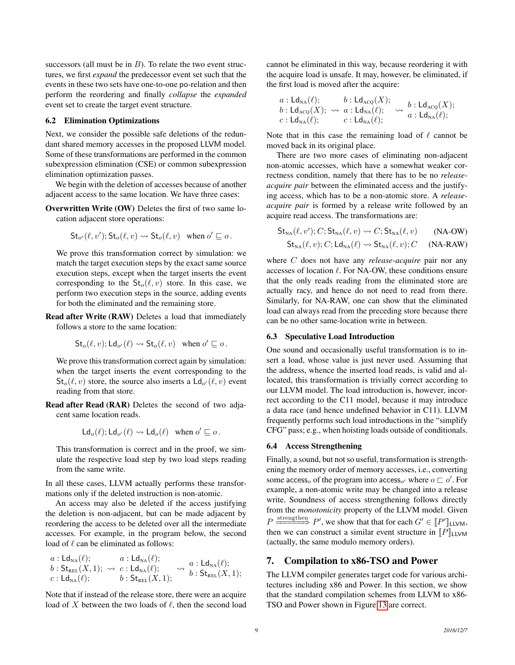successors (all must be in  $B$ ). To relate the two event structures, we first *expand* the predecessor event set such that the events in these two sets have one-to-one po-relation and then perform the reordering and finally *collapse* the *expanded* event set to create the target event structure.

## 6.2 Elimination Optimizations

Next, we consider the possible safe deletions of the redundant shared memory accesses in the proposed LLVM model. Some of these transformations are performed in the common subexpression elimination (CSE) or common subexpression elimination optimization passes.

We begin with the deletion of accesses because of another adjacent access to the same location. We have three cases:

Overwritten Write (OW) Deletes the first of two same location adjacent store operations:

$$
\mathsf{St}_{o'}(\ell, v'); \mathsf{St}_{o}(\ell, v) \rightsquigarrow \mathsf{St}_{o}(\ell, v) \quad \text{when } o' \sqsubseteq o \, .
$$

We prove this transformation correct by simulation: we match the target execution steps by the exact same source execution steps, except when the target inserts the event corresponding to the  $St_o(\ell, v)$  store. In this case, we perform two execution steps in the source, adding events for both the eliminated and the remaining store.

Read after Write (RAW) Deletes a load that immediately follows a store to the same location:

$$
\mathsf{St}_o(\ell,v); \mathsf{Ld}_{o'}(\ell) \rightsquigarrow \mathsf{St}_o(\ell,v) \quad \text{when } o' \sqsubseteq o \, .
$$

We prove this transformation correct again by simulation: when the target inserts the event corresponding to the  $St<sub>o</sub>(\ell, v)$  store, the source also inserts a  $Ld<sub>o'</sub>(\ell, v)$  event reading from that store.

Read after Read (RAR) Deletes the second of two adjacent same location reads.

$$
Ld_o(\ell); Ld_{o'}(\ell) \rightsquigarrow Ld_o(\ell) \text{ when } o' \sqsubseteq o.
$$

This transformation is correct and in the proof, we simulate the respective load step by two load steps reading from the same write.

In all these cases, LLVM actually performs these transformations only if the deleted instruction is non-atomic.

An access may also be deleted if the access justifying the deletion is non-adjacent, but can be made adjacent by reordering the access to be deleted over all the intermediate accesses. For example, in the program below, the second load of  $\ell$  can be eliminated as follows:

$$
a: \mathsf{Ld}_{\mathsf{NA}}(\ell); \quad a: \mathsf{Ld}_{\mathsf{NA}}(\ell); \quad b: \mathsf{St}_{\mathsf{REL}}(X,1); \rightsquigarrow c: \mathsf{Ld}_{\mathsf{NA}}(\ell); \quad b: \mathsf{St}_{\mathsf{REL}}(X,1); \quad c: \mathsf{Ld}_{\mathsf{NA}}(\ell); \quad b: \mathsf{St}_{\mathsf{REL}}(X,1);
$$

Note that if instead of the release store, there were an acquire load of  $X$  between the two loads of  $\ell$ , then the second load

cannot be eliminated in this way, because reordering it with the acquire load is unsafe. It may, however, be eliminated, if the first load is moved after the acquire:

$$
a: \mathsf{Ld}_{\mathrm{NA}}(\ell); \qquad b: \mathsf{Ld}_{\mathrm{ACQ}}(X); \qquad b: \mathsf{Ld}_{\mathrm{ACQ}}(X); \newline b: \mathsf{Ld}_{\mathrm{ACQ}}(X); \rightsquigarrow a: \mathsf{Ld}_{\mathrm{NA}}(\ell); \qquad c: \mathsf{Ld}_{\mathrm{NA}}(\ell); \qquad c: \mathsf{Ld}_{\mathrm{NA}}(\ell);
$$

Note that in this case the remaining load of  $\ell$  cannot be moved back in its original place.

There are two more cases of eliminating non-adjacent non-atomic accesses, which have a somewhat weaker correctness condition, namely that there has to be no *releaseacquire pair* between the eliminated access and the justifying access, which has to be a non-atomic store. A *releaseacquire pair* is formed by a release write followed by an acquire read access. The transformations are:

$$
\begin{aligned} \mathsf{St}_{\text{NA}}(\ell, v'); C; \mathsf{St}_{\text{NA}}(\ell, v) &\sim C; \mathsf{St}_{\text{NA}}(\ell, v) \qquad (\text{NA-OW})\\ \mathsf{St}_{\text{NA}}(\ell, v); C; \mathsf{Ld}_{\text{NA}}(\ell) &\sim \mathsf{St}_{\text{NA}}(\ell, v); C \qquad (\text{NA-RAW}) \end{aligned}
$$

where C does not have any *release-acquire* pair nor any accesses of location  $\ell$ . For NA-OW, these conditions ensure that the only reads reading from the eliminated store are actually racy, and hence do not need to read from there. Similarly, for NA-RAW, one can show that the eliminated load can always read from the preceding store because there can be no other same-location write in between.

#### 6.3 Speculative Load Introduction

One sound and occasionally useful transformation is to insert a load, whose value is just never used. Assuming that the address, whence the inserted load reads, is valid and allocated, this transformation is trivially correct according to our LLVM model. The load introduction is, however, incorrect according to the C11 model, because it may introduce a data race (and hence undefined behavior in C11). LLVM frequently performs such load introductions in the "simplify CFG" pass; e.g., when hoisting loads outside of conditionals.

### 6.4 Access Strengthening

Finally, a sound, but not so useful, transformation is strengthening the memory order of memory accesses, i.e., converting some access<sub>o</sub> of the program into access<sub>o</sub>, where  $o \sqsubset o'$ . For example, a non-atomic write may be changed into a release write. Soundness of access strengthening follows directly from the *monotonicity* property of the LLVM model. Given  $P \xrightarrow{\text{strengthen}} P'$ , we show that that for each  $G' \in [P']$  LLVM, then we can construct a similar event structure in  $[$ P $]$ <sub>LLVM</sub> (actually, the same modulo memory orders).

# <span id="page-8-0"></span>7. Compilation to x86-TSO and Power

The LLVM compiler generates target code for various architectures including x86 and Power. In this section, we show that the standard compilation schemes from LLVM to x86- TSO and Power shown in Figure [13](#page-9-0) are correct.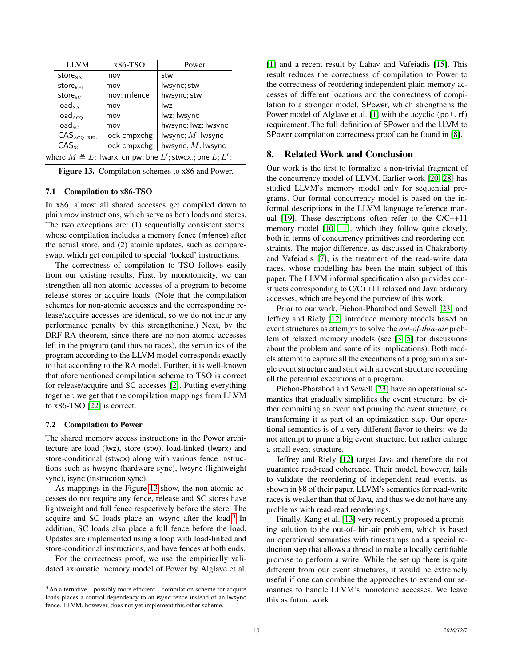| <b>LLVM</b>                                                          | $x86-TSO$    | Power                |  |  |
|----------------------------------------------------------------------|--------------|----------------------|--|--|
| store <sub>NA</sub>                                                  | mov          | stw                  |  |  |
| store <sub>RE</sub>                                                  | mov          | lwsync; stw          |  |  |
| store $_{SC}$                                                        | mov; mfence  | hwsync; stw          |  |  |
| $load_{NA}$                                                          | mov          | lwz                  |  |  |
| $load_{ACO}$                                                         | mov          | lwz; lwsync          |  |  |
| $load_{sc}$                                                          | mov          | hwsync; lwz; lwsync  |  |  |
| $\mathsf{CAS}_\mathsf{ACQ\_REL}$                                     | lock cmpxchg | lwsync; $M$ ; lwsync |  |  |
| CAS <sub>sc</sub>                                                    | lock cmpxchg | hwsync; $M$ ; lwsync |  |  |
| where $M\triangleq L$ : Iwarx; cmpw; bne $L'$ ; stwcx.; bne $L;L'$ : |              |                      |  |  |

<span id="page-9-0"></span>Figure 13. Compilation schemes to x86 and Power.

#### 7.1 Compilation to x86-TSO

In x86, almost all shared accesses get compiled down to plain mov instructions, which serve as both loads and stores. The two exceptions are: (1) sequentially consistent stores, whose compilation includes a memory fence (mfence) after the actual store, and (2) atomic updates, such as compareswap, which get compiled to special 'locked' instructions.

The correctness of compilation to TSO follows easily from our existing results. First, by monotonicity, we can strengthen all non-atomic accesses of a program to become release stores or acquire loads. (Note that the compilation schemes for non-atomic accesses and the corresponding release/acquire accesses are identical, so we do not incur any performance penalty by this strengthening.) Next, by the DRF-RA theorem, since there are no non-atomic accesses left in the program (and thus no races), the semantics of the program according to the LLVM model corresponds exactly to that according to the RA model. Further, it is well-known that aforementioned compilation scheme to TSO is correct for release/acquire and SC accesses [\[2\]](#page-10-3). Putting everything together, we get that the compilation mappings from LLVM to x86-TSO [\[22\]](#page-10-5) is correct.

#### 7.2 Compilation to Power

The shared memory access instructions in the Power architecture are load (lwz), store (stw), load-linked (lwarx) and store-conditional (stwcx) along with various fence instructions such as hwsync (hardware sync), lwsync (lightweight sync), isync (instruction sync).

As mappings in the Figure [13](#page-9-0) show, the non-atomic accesses do not require any fence, release and SC stores have lightweight and full fence respectively before the store. The acquire and SC loads place an lwsync after the load.<sup>[3](#page-9-1)</sup> In addition, SC loads also place a full fence before the load. Updates are implemented using a loop with load-linked and store-conditional instructions, and have fences at both ends.

For the correctness proof, we use the empirically validated axiomatic memory model of Power by Alglave et al. [\[1\]](#page-10-2) and a recent result by Lahav and Vafeiadis [\[15\]](#page-10-24). This result reduces the correctness of compilation to Power to the correctness of reordering independent plain memory accesses of different locations and the correctness of compilation to a stronger model, SPower, which strengthens the Power model of Alglave et al. [\[1\]](#page-10-2) with the acyclic (po  $\cup$  rf) requirement. The full definition of SPower and the LLVM to SPower compilation correctness proof can be found in [\[8\]](#page-10-17).

# 8. Related Work and Conclusion

Our work is the first to formalize a non-trivial fragment of the concurrency model of LLVM. Earlier work [\[20,](#page-10-25) [28\]](#page-10-0) has studied LLVM's memory model only for sequential programs. Our formal concurrency model is based on the informal descriptions in the LLVM language reference manual [\[19\]](#page-10-18). These descriptions often refer to the C/C++11 memory model [\[10,](#page-10-26) [11\]](#page-10-27), which they follow quite closely, both in terms of concurrency primitives and reordering constraints. The major difference, as discussed in Chakraborty and Vafeiadis [\[7\]](#page-10-1), is the treatment of the read-write data races, whose modelling has been the main subject of this paper. The LLVM informal specification also provides constructs corresponding to C/C++11 relaxed and Java ordinary accesses, which are beyond the purview of this work.

Prior to our work, Pichon-Pharabod and Sewell [\[23\]](#page-10-14) and Jeffrey and Riely [\[12\]](#page-10-13) introduce memory models based on event structures as attempts to solve the *out-of-thin-air* problem of relaxed memory models (see [\[3,](#page-10-8) [5\]](#page-10-12) for discussions about the problem and some of its implications). Both models attempt to capture all the executions of a program in a single event structure and start with an event structure recording all the potential executions of a program.

Pichon-Pharabod and Sewell [\[23\]](#page-10-14) have an operational semantics that gradually simplifies the event structure, by either committing an event and pruning the event structure, or transforming it as part of an optimization step. Our operational semantics is of a very different flavor to theirs; we do not attempt to prune a big event structure, but rather enlarge a small event structure.

Jeffrey and Riely [\[12\]](#page-10-13) target Java and therefore do not guarantee read-read coherence. Their model, however, fails to validate the reordering of independent read events, as shown in §8 of their paper. LLVM's semantics for read-write races is weaker than that of Java, and thus we do not have any problems with read-read reorderings.

Finally, Kang et al. [\[13\]](#page-10-16) very recently proposed a promising solution to the out-of-thin-air problem, which is based on operational semantics with timestamps and a special reduction step that allows a thread to make a locally certifiable promise to perform a write. While the set up there is quite different from our event structures, it would be extremely useful if one can combine the approaches to extend our semantics to handle LLVM's monotonic accesses. We leave this as future work.

<span id="page-9-1"></span><sup>3</sup> An alternative—possibly more efficient—compilation scheme for acquire loads places a control-dependency to an isync fence instead of an lwsync fence. LLVM, however, does not yet implement this other scheme.